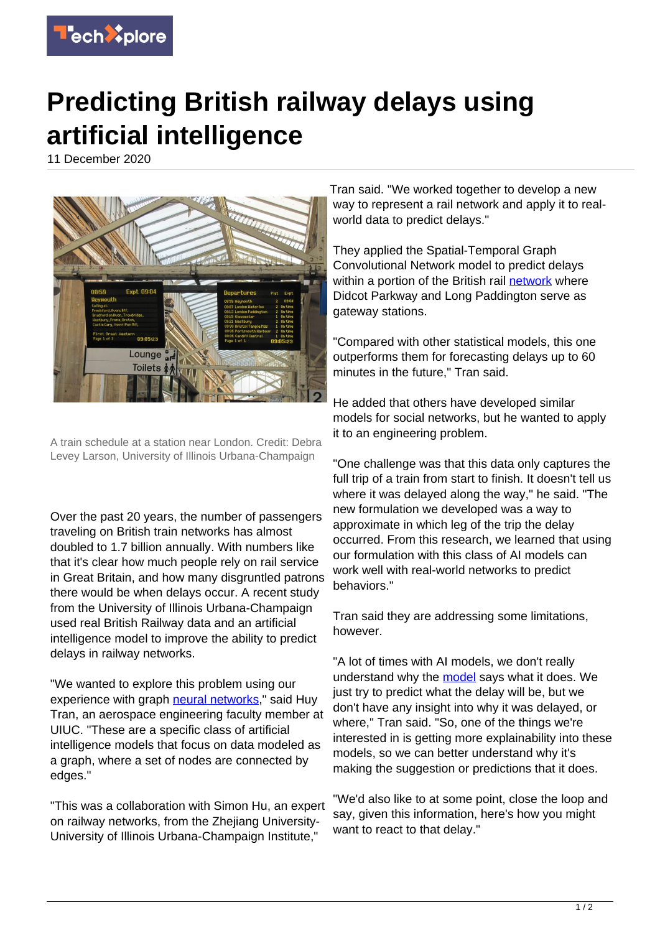

## **Predicting British railway delays using artificial intelligence**

11 December 2020



A train schedule at a station near London. Credit: Debra Levey Larson, University of Illinois Urbana-Champaign

Over the past 20 years, the number of passengers traveling on British train networks has almost doubled to 1.7 billion annually. With numbers like that it's clear how much people rely on rail service in Great Britain, and how many disgruntled patrons there would be when delays occur. A recent study from the University of Illinois Urbana-Champaign used real British Railway data and an artificial intelligence model to improve the ability to predict delays in railway networks.

"We wanted to explore this problem using our experience with graph [neural networks,](https://techxplore.com/tags/neural+networks/)" said Huy Tran, an aerospace engineering faculty member at UIUC. "These are a specific class of artificial intelligence models that focus on data modeled as a graph, where a set of nodes are connected by edges."

"This was a collaboration with Simon Hu, an expert on railway networks, from the Zhejiang University-University of Illinois Urbana-Champaign Institute,"

Tran said. "We worked together to develop a new way to represent a rail network and apply it to realworld data to predict delays."

They applied the Spatial-Temporal Graph Convolutional Network model to predict delays within a portion of the British rail [network](https://techxplore.com/tags/network/) where Didcot Parkway and Long Paddington serve as gateway stations.

"Compared with other statistical models, this one outperforms them for forecasting delays up to 60 minutes in the future," Tran said.

He added that others have developed similar models for social networks, but he wanted to apply it to an engineering problem.

"One challenge was that this data only captures the full trip of a train from start to finish. It doesn't tell us where it was delayed along the way," he said. "The new formulation we developed was a way to approximate in which leg of the trip the delay occurred. From this research, we learned that using our formulation with this class of AI models can work well with real-world networks to predict behaviors."

Tran said they are addressing some limitations, however.

"A lot of times with AI models, we don't really understand why the [model](https://techxplore.com/tags/model/) says what it does. We just try to predict what the delay will be, but we don't have any insight into why it was delayed, or where," Tran said. "So, one of the things we're interested in is getting more explainability into these models, so we can better understand why it's making the suggestion or predictions that it does.

"We'd also like to at some point, close the loop and say, given this information, here's how you might want to react to that delay."